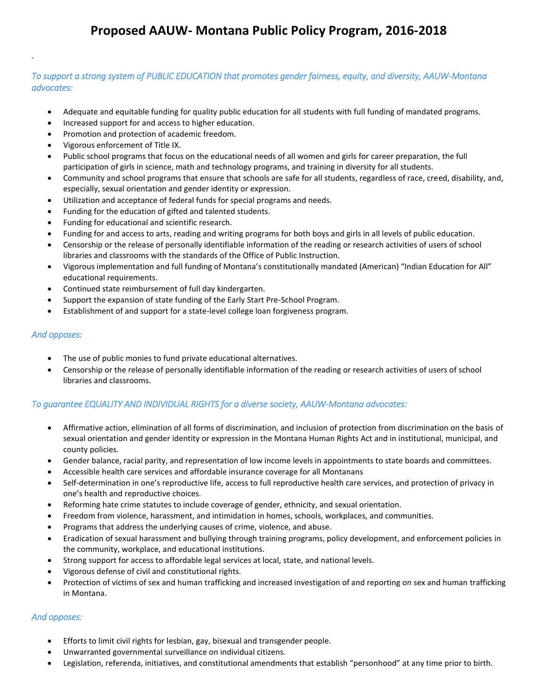## **Proposed AAUW- Montana Public Policy Program, 2016-2018**

### *To support a strong system of PUBLIC EDUCATION that promotes gender fairness, equity, and diversity, AAUW-Montana advocates:*

- Adequate and equitable funding for quality public education for all students with full funding of mandated programs.
- Increased support for and access to higher education.
- Promotion and protection of academic freedom.
- Vigorous enforcement of Title IX.
- Public school programs that focus on the educational needs of all women and girls for career preparation, the full participation of girls in science, math and technology programs, and training in diversity for all students.
- Community and school programs that ensure that schools are safe for all students, regardless of race, creed, disability, and, especially, sexual orientation and gender identity or expression.
- Utilization and acceptance of federal funds for special programs and needs.
- Funding for the education of gifted and talented students.
- Funding for educational and scientific research.
- Funding for and access to arts, reading and writing programs for both boys and girls in all levels of public education.
- Censorship or the release of personally identifiable information of the reading or research activities of users of school libraries and classrooms with the standards of the Office of Public Instruction.
- Vigorous implementation and full funding of Montana's constitutionally mandated (American) "Indian Education for All" educational requirements.
- Continued state reimbursement of full day kindergarten.
- Support the expansion of state funding of the Early Start Pre-School Program.
- Establishment of and support for a state-level college loan forgiveness program.

#### *And opposes:*

.

- The use of public monies to fund private educational alternatives.
- Censorship or the release of personally identifiable information of the reading or research activities of users of school libraries and classrooms.

### *To guarantee EQUALITY AND INDIVIDUAL RIGHTS for a diverse society, AAUW-Montana advocates:*

- Affirmative action, elimination of all forms of discrimination, and inclusion of protection from discrimination on the basis of sexual orientation and gender identity or expression in the Montana Human Rights Act and in institutional, municipal, and county policies.
- Gender balance, racial parity, and representation of low income levels in appointments to state boards and committees.
- Accessible health care services and affordable insurance coverage for all Montanans
- Self-determination in one's reproductive life, access to full reproductive health care services, and protection of privacy in one's health and reproductive choices.
- Reforming hate crime statutes to include coverage of gender, ethnicity, and sexual orientation.
- Freedom from violence, harassment, and intimidation in homes, schools, workplaces, and communities.
- Programs that address the underlying causes of crime, violence, and abuse.
- Eradication of sexual harassment and bullying through training programs, policy development, and enforcement policies in the community, workplace, and educational institutions.
- Strong support for access to affordable legal services at local, state, and national levels.
- Vigorous defense of civil and constitutional rights.
- Protection of victims of sex and human trafficking and increased investigation of and reporting on sex and human trafficking in Montana.

### *And opposes:*

- Efforts to limit civil rights for lesbian, gay, bisexual and transgender people.
- Unwarranted governmental surveillance on individual citizens.
- Legislation, referenda, initiatives, and constitutional amendments that establish "personhood" at any time prior to birth.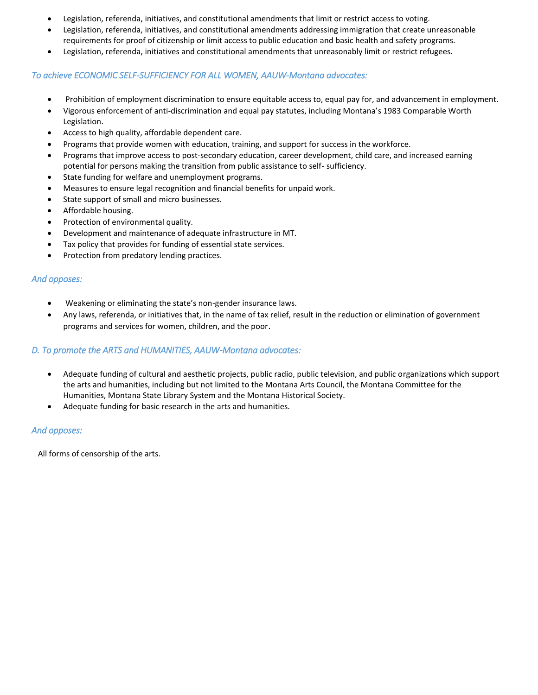- Legislation, referenda, initiatives, and constitutional amendments that limit or restrict access to voting.
- Legislation, referenda, initiatives, and constitutional amendments addressing immigration that create unreasonable requirements for proof of citizenship or limit access to public education and basic health and safety programs.
- Legislation, referenda, initiatives and constitutional amendments that unreasonably limit or restrict refugees.

### *To achieve ECONOMIC SELF-SUFFICIENCY FOR ALL WOMEN, AAUW-Montana advocates:*

- Prohibition of employment discrimination to ensure equitable access to, equal pay for, and advancement in employment.
- Vigorous enforcement of anti-discrimination and equal pay statutes, including Montana's 1983 Comparable Worth Legislation.
- Access to high quality, affordable dependent care.
- Programs that provide women with education, training, and support for success in the workforce.
- Programs that improve access to post-secondary education, career development, child care, and increased earning potential for persons making the transition from public assistance to self- sufficiency.
- State funding for welfare and unemployment programs.
- Measures to ensure legal recognition and financial benefits for unpaid work.
- State support of small and micro businesses.
- Affordable housing.
- Protection of environmental quality.
- Development and maintenance of adequate infrastructure in MT.
- Tax policy that provides for funding of essential state services.
- Protection from predatory lending practices.

### *And opposes:*

- Weakening or eliminating the state's non-gender insurance laws.
- Any laws, referenda, or initiatives that, in the name of tax relief, result in the reduction or elimination of government programs and services for women, children, and the poor.

### *D. To promote the ARTS and HUMANITIES, AAUW-Montana advocates:*

- Adequate funding of cultural and aesthetic projects, public radio, public television, and public organizations which support the arts and humanities, including but not limited to the Montana Arts Council, the Montana Committee for the Humanities, Montana State Library System and the Montana Historical Society.
- Adequate funding for basic research in the arts and humanities.

### *And opposes:*

All forms of censorship of the arts.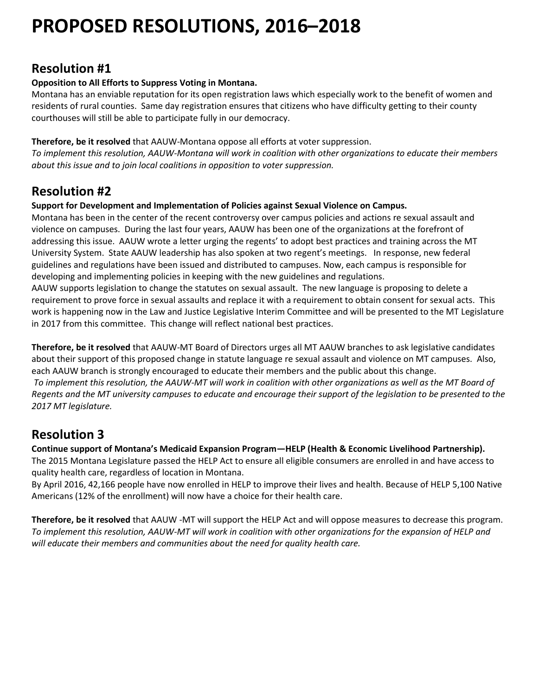# **PROPOSED RESOLUTIONS, 2016–2018**

# **Resolution #1**

### **Opposition to All Efforts to Suppress Voting in Montana.**

Montana has an enviable reputation for its open registration laws which especially work to the benefit of women and residents of rural counties. Same day registration ensures that citizens who have difficulty getting to their county courthouses will still be able to participate fully in our democracy.

**Therefore, be it resolved** that AAUW-Montana oppose all efforts at voter suppression.

*To implement this resolution, AAUW-Montana will work in coalition with other organizations to educate their members about this issue and to join local coalitions in opposition to voter suppression.*

# **Resolution #2**

**Support for Development and Implementation of Policies against Sexual Violence on Campus.**

Montana has been in the center of the recent controversy over campus policies and actions re sexual assault and violence on campuses. During the last four years, AAUW has been one of the organizations at the forefront of addressing this issue. AAUW wrote a letter urging the regents' to adopt best practices and training across the MT University System. State AAUW leadership has also spoken at two regent's meetings. In response, new federal guidelines and regulations have been issued and distributed to campuses. Now, each campus is responsible for developing and implementing policies in keeping with the new guidelines and regulations.

AAUW supports legislation to change the statutes on sexual assault. The new language is proposing to delete a requirement to prove force in sexual assaults and replace it with a requirement to obtain consent for sexual acts. This work is happening now in the Law and Justice Legislative Interim Committee and will be presented to the MT Legislature in 2017 from this committee. This change will reflect national best practices.

**Therefore, be it resolved** that AAUW-MT Board of Directors urges all MT AAUW branches to ask legislative candidates about their support of this proposed change in statute language re sexual assault and violence on MT campuses. Also, each AAUW branch is strongly encouraged to educate their members and the public about this change. *To implement this resolution, the AAUW-MT will work in coalition with other organizations as well as the MT Board of Regents and the MT university campuses to educate and encourage their support of the legislation to be presented to the 2017 MT legislature.*

# **Resolution 3**

**Continue support of Montana's Medicaid Expansion Program—HELP (Health & Economic Livelihood Partnership).** The 2015 Montana Legislature passed the HELP Act to ensure all eligible consumers are enrolled in and have access to quality health care, regardless of location in Montana.

By April 2016, 42,166 people have now enrolled in HELP to improve their lives and health. Because of HELP 5,100 Native Americans (12% of the enrollment) will now have a choice for their health care.

**Therefore, be it resolved** that AAUW -MT will support the HELP Act and will oppose measures to decrease this program. *To implement this resolution, AAUW-MT will work in coalition with other organizations for the expansion of HELP and*  will educate their members and communities about the need for quality health care.